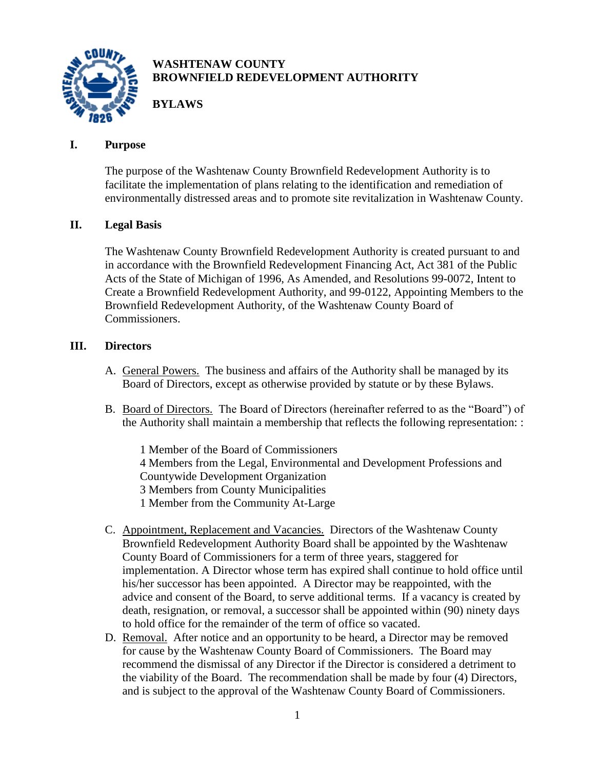

# **WASHTENAW COUNTY BROWNFIELD REDEVELOPMENT AUTHORITY**

**BYLAWS**

## **I. Purpose**

The purpose of the Washtenaw County Brownfield Redevelopment Authority is to facilitate the implementation of plans relating to the identification and remediation of environmentally distressed areas and to promote site revitalization in Washtenaw County.

# **II. Legal Basis**

The Washtenaw County Brownfield Redevelopment Authority is created pursuant to and in accordance with the Brownfield Redevelopment Financing Act, Act 381 of the Public Acts of the State of Michigan of 1996, As Amended, and Resolutions 99-0072, Intent to Create a Brownfield Redevelopment Authority, and 99-0122, Appointing Members to the Brownfield Redevelopment Authority, of the Washtenaw County Board of Commissioners.

### **III. Directors**

- A. General Powers. The business and affairs of the Authority shall be managed by its Board of Directors, except as otherwise provided by statute or by these Bylaws.
- B. Board of Directors. The Board of Directors (hereinafter referred to as the "Board") of the Authority shall maintain a membership that reflects the following representation: :

1 Member of the Board of Commissioners 4 Members from the Legal, Environmental and Development Professions and Countywide Development Organization 3 Members from County Municipalities 1 Member from the Community At-Large

- C. Appointment, Replacement and Vacancies. Directors of the Washtenaw County Brownfield Redevelopment Authority Board shall be appointed by the Washtenaw County Board of Commissioners for a term of three years, staggered for implementation. A Director whose term has expired shall continue to hold office until his/her successor has been appointed. A Director may be reappointed, with the advice and consent of the Board, to serve additional terms. If a vacancy is created by death, resignation, or removal, a successor shall be appointed within (90) ninety days to hold office for the remainder of the term of office so vacated.
- D. Removal. After notice and an opportunity to be heard, a Director may be removed for cause by the Washtenaw County Board of Commissioners. The Board may recommend the dismissal of any Director if the Director is considered a detriment to the viability of the Board. The recommendation shall be made by four (4) Directors, and is subject to the approval of the Washtenaw County Board of Commissioners.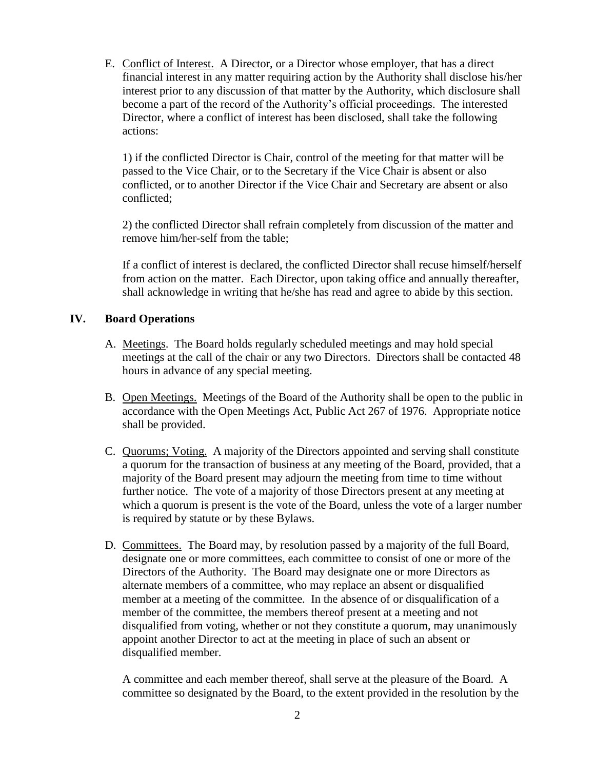E. Conflict of Interest. A Director, or a Director whose employer, that has a direct financial interest in any matter requiring action by the Authority shall disclose his/her interest prior to any discussion of that matter by the Authority, which disclosure shall become a part of the record of the Authority's official proceedings. The interested Director, where a conflict of interest has been disclosed, shall take the following actions:

1) if the conflicted Director is Chair, control of the meeting for that matter will be passed to the Vice Chair, or to the Secretary if the Vice Chair is absent or also conflicted, or to another Director if the Vice Chair and Secretary are absent or also conflicted;

2) the conflicted Director shall refrain completely from discussion of the matter and remove him/her-self from the table;

If a conflict of interest is declared, the conflicted Director shall recuse himself/herself from action on the matter. Each Director, upon taking office and annually thereafter, shall acknowledge in writing that he/she has read and agree to abide by this section.

#### **IV. Board Operations**

- A. Meetings. The Board holds regularly scheduled meetings and may hold special meetings at the call of the chair or any two Directors. Directors shall be contacted 48 hours in advance of any special meeting.
- B. Open Meetings. Meetings of the Board of the Authority shall be open to the public in accordance with the Open Meetings Act, Public Act 267 of 1976. Appropriate notice shall be provided.
- C. Quorums; Voting. A majority of the Directors appointed and serving shall constitute a quorum for the transaction of business at any meeting of the Board, provided, that a majority of the Board present may adjourn the meeting from time to time without further notice. The vote of a majority of those Directors present at any meeting at which a quorum is present is the vote of the Board, unless the vote of a larger number is required by statute or by these Bylaws.
- D. Committees. The Board may, by resolution passed by a majority of the full Board, designate one or more committees, each committee to consist of one or more of the Directors of the Authority. The Board may designate one or more Directors as alternate members of a committee, who may replace an absent or disqualified member at a meeting of the committee. In the absence of or disqualification of a member of the committee, the members thereof present at a meeting and not disqualified from voting, whether or not they constitute a quorum, may unanimously appoint another Director to act at the meeting in place of such an absent or disqualified member.

A committee and each member thereof, shall serve at the pleasure of the Board. A committee so designated by the Board, to the extent provided in the resolution by the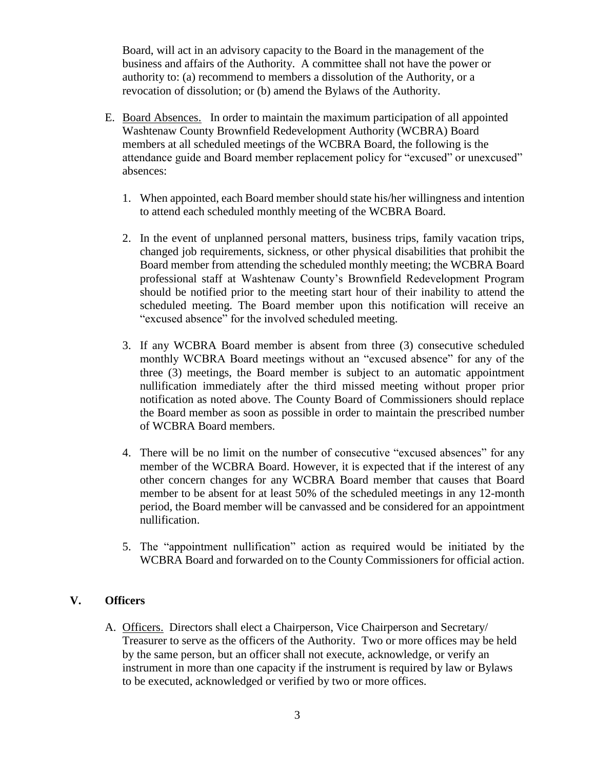Board, will act in an advisory capacity to the Board in the management of the business and affairs of the Authority. A committee shall not have the power or authority to: (a) recommend to members a dissolution of the Authority, or a revocation of dissolution; or (b) amend the Bylaws of the Authority.

- E. Board Absences. In order to maintain the maximum participation of all appointed Washtenaw County Brownfield Redevelopment Authority (WCBRA) Board members at all scheduled meetings of the WCBRA Board, the following is the attendance guide and Board member replacement policy for "excused" or unexcused" absences:
	- 1. When appointed, each Board member should state his/her willingness and intention to attend each scheduled monthly meeting of the WCBRA Board.
	- 2. In the event of unplanned personal matters, business trips, family vacation trips, changed job requirements, sickness, or other physical disabilities that prohibit the Board member from attending the scheduled monthly meeting; the WCBRA Board professional staff at Washtenaw County's Brownfield Redevelopment Program should be notified prior to the meeting start hour of their inability to attend the scheduled meeting. The Board member upon this notification will receive an "excused absence" for the involved scheduled meeting.
	- 3. If any WCBRA Board member is absent from three (3) consecutive scheduled monthly WCBRA Board meetings without an "excused absence" for any of the three (3) meetings, the Board member is subject to an automatic appointment nullification immediately after the third missed meeting without proper prior notification as noted above. The County Board of Commissioners should replace the Board member as soon as possible in order to maintain the prescribed number of WCBRA Board members.
	- 4. There will be no limit on the number of consecutive "excused absences" for any member of the WCBRA Board. However, it is expected that if the interest of any other concern changes for any WCBRA Board member that causes that Board member to be absent for at least 50% of the scheduled meetings in any 12-month period, the Board member will be canvassed and be considered for an appointment nullification.
	- 5. The "appointment nullification" action as required would be initiated by the WCBRA Board and forwarded on to the County Commissioners for official action.

#### **V. Officers**

A. Officers. Directors shall elect a Chairperson, Vice Chairperson and Secretary/ Treasurer to serve as the officers of the Authority. Two or more offices may be held by the same person, but an officer shall not execute, acknowledge, or verify an instrument in more than one capacity if the instrument is required by law or Bylaws to be executed, acknowledged or verified by two or more offices.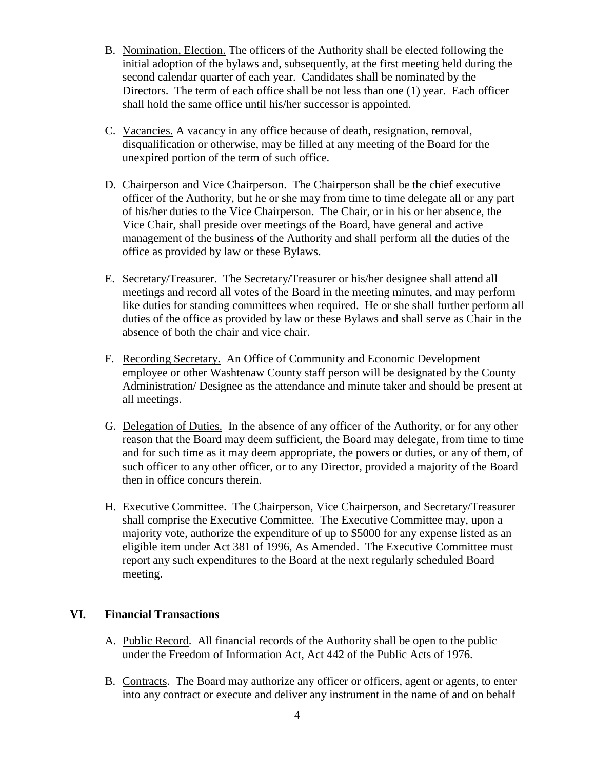- B. Nomination, Election. The officers of the Authority shall be elected following the initial adoption of the bylaws and, subsequently, at the first meeting held during the second calendar quarter of each year. Candidates shall be nominated by the Directors. The term of each office shall be not less than one (1) year. Each officer shall hold the same office until his/her successor is appointed.
- C. Vacancies. A vacancy in any office because of death, resignation, removal, disqualification or otherwise, may be filled at any meeting of the Board for the unexpired portion of the term of such office.
- D. Chairperson and Vice Chairperson. The Chairperson shall be the chief executive officer of the Authority, but he or she may from time to time delegate all or any part of his/her duties to the Vice Chairperson. The Chair, or in his or her absence, the Vice Chair, shall preside over meetings of the Board, have general and active management of the business of the Authority and shall perform all the duties of the office as provided by law or these Bylaws.
- E. Secretary/Treasurer. The Secretary/Treasurer or his/her designee shall attend all meetings and record all votes of the Board in the meeting minutes, and may perform like duties for standing committees when required. He or she shall further perform all duties of the office as provided by law or these Bylaws and shall serve as Chair in the absence of both the chair and vice chair.
- F. Recording Secretary. An Office of Community and Economic Development employee or other Washtenaw County staff person will be designated by the County Administration/ Designee as the attendance and minute taker and should be present at all meetings.
- G. Delegation of Duties.In the absence of any officer of the Authority, or for any other reason that the Board may deem sufficient, the Board may delegate, from time to time and for such time as it may deem appropriate, the powers or duties, or any of them, of such officer to any other officer, or to any Director, provided a majority of the Board then in office concurs therein.
- H. Executive Committee. The Chairperson, Vice Chairperson, and Secretary/Treasurer shall comprise the Executive Committee. The Executive Committee may, upon a majority vote, authorize the expenditure of up to \$5000 for any expense listed as an eligible item under Act 381 of 1996, As Amended. The Executive Committee must report any such expenditures to the Board at the next regularly scheduled Board meeting.

#### **VI. Financial Transactions**

- A. Public Record. All financial records of the Authority shall be open to the public under the Freedom of Information Act, Act 442 of the Public Acts of 1976.
- B. Contracts. The Board may authorize any officer or officers, agent or agents, to enter into any contract or execute and deliver any instrument in the name of and on behalf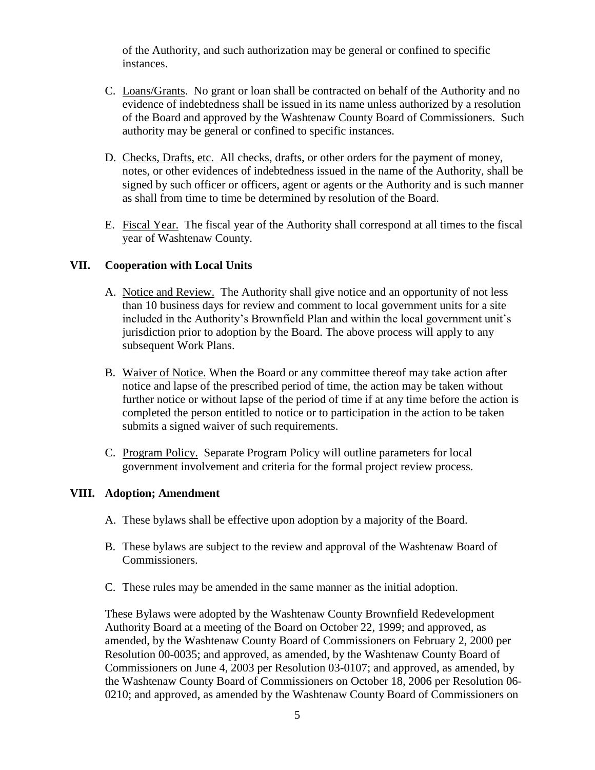of the Authority, and such authorization may be general or confined to specific instances.

- C. Loans/Grants. No grant or loan shall be contracted on behalf of the Authority and no evidence of indebtedness shall be issued in its name unless authorized by a resolution of the Board and approved by the Washtenaw County Board of Commissioners. Such authority may be general or confined to specific instances.
- D. Checks, Drafts, etc. All checks, drafts, or other orders for the payment of money, notes, or other evidences of indebtedness issued in the name of the Authority, shall be signed by such officer or officers, agent or agents or the Authority and is such manner as shall from time to time be determined by resolution of the Board.
- E. Fiscal Year. The fiscal year of the Authority shall correspond at all times to the fiscal year of Washtenaw County.

#### **VII. Cooperation with Local Units**

- A. Notice and Review. The Authority shall give notice and an opportunity of not less than 10 business days for review and comment to local government units for a site included in the Authority's Brownfield Plan and within the local government unit's jurisdiction prior to adoption by the Board. The above process will apply to any subsequent Work Plans.
- B. Waiver of Notice. When the Board or any committee thereof may take action after notice and lapse of the prescribed period of time, the action may be taken without further notice or without lapse of the period of time if at any time before the action is completed the person entitled to notice or to participation in the action to be taken submits a signed waiver of such requirements.
- C. Program Policy. Separate Program Policy will outline parameters for local government involvement and criteria for the formal project review process.

#### **VIII. Adoption; Amendment**

- A. These bylaws shall be effective upon adoption by a majority of the Board.
- B. These bylaws are subject to the review and approval of the Washtenaw Board of Commissioners.
- C. These rules may be amended in the same manner as the initial adoption.

These Bylaws were adopted by the Washtenaw County Brownfield Redevelopment Authority Board at a meeting of the Board on October 22, 1999; and approved, as amended, by the Washtenaw County Board of Commissioners on February 2, 2000 per Resolution 00-0035; and approved, as amended, by the Washtenaw County Board of Commissioners on June 4, 2003 per Resolution 03-0107; and approved, as amended, by the Washtenaw County Board of Commissioners on October 18, 2006 per Resolution 06- 0210; and approved, as amended by the Washtenaw County Board of Commissioners on